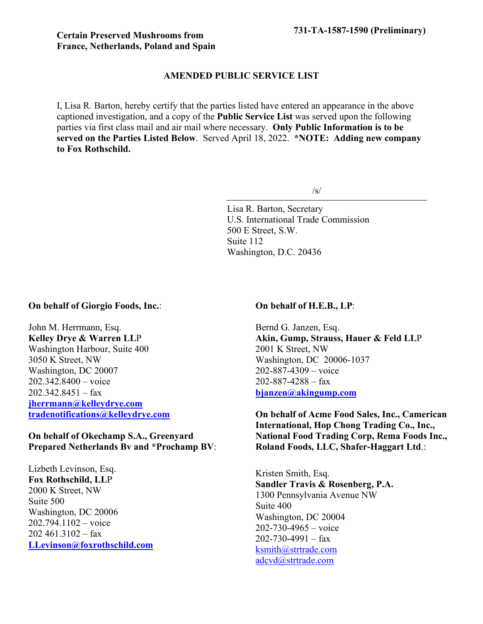## **AMENDED PUBLIC SERVICE LIST**

I, Lisa R. Barton, hereby certify that the parties listed have entered an appearance in the above captioned investigation, and a copy of the **Public Service List** was served upon the following parties via first class mail and air mail where necessary. **Only Public Information is to be served on the Parties Listed Below**. Served April 18, 2022. **\*NOTE: Adding new company to Fox Rothschild.**

 $\sqrt{s}$ 

Lisa R. Barton, Secretary U.S. International Trade Commission 500 E Street, S.W. Suite 112 Washington, D.C. 20436

## **On behalf of Giorgio Foods, Inc.**:

John M. Herrmann, Esq. **Kelley Drye & Warren LL**P Washington Harbour, Suite 400 3050 K Street, NW Washington, DC 20007 202.342.8400 – voice  $202.342.8451 - fax$ **[jherrmann@kelleydrye.com](mailto:jherrmann@kelleydrye.com) [tradenotifications@kelleydrye.com](mailto:tradenotifications@kelleydrye.com)**

## **On behalf of Okechamp S.A., Greenyard Prepared Netherlands Bv and \*Prochamp BV**:

Lizbeth Levinson, Esq. **Fox Rothschild, LL**P 2000 K Street, NW Suite 500 Washington, DC 20006 202.794.1102 – voice  $202\,461.3102 - fax$ **[LLevinson@foxrothschild.com](mailto:LLevinson@foxrothschild.com)**

## **On behalf of H.E.B., LP**:

Bernd G. Janzen, Esq. **Akin, Gump, Strauss, Hauer & Feld LL**P 2001 K Street, NW Washington, DC 20006-1037 202-887-4309 – voice  $202 - 887 - 4288 - fax$ **[bjanzen@akingump.com](mailto:bjanzen@akingump.com)**

**On behalf of Acme Food Sales, Inc., Camerican International, Hop Chong Trading Co., Inc., National Food Trading Corp, Rema Foods Inc., Roland Foods, LLC, Shafer-Haggart Ltd**.:

Kristen Smith, Esq. **Sandler Travis & Rosenberg, P.A.** 1300 Pennsylvania Avenue NW Suite 400 Washington, DC 20004  $202 - 730 - 4965 - \text{voice}$  $202 - 730 - 4991 - fax$ [ksmith@strtrade.com](mailto:ksmith@strtrade.com) [adcvd@strtrade.com](mailto:adcvd@strtrade.com)